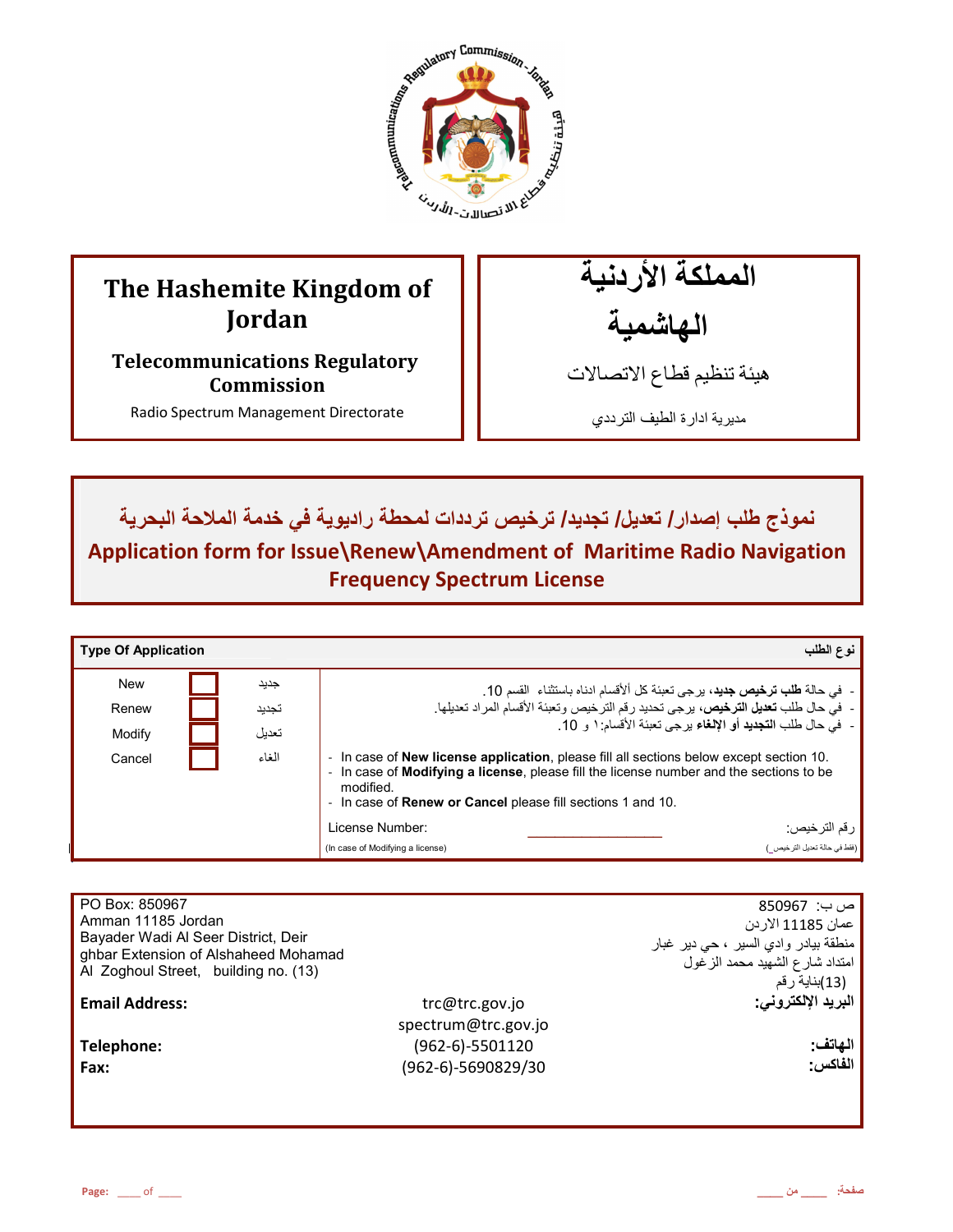

# **The Hashemite Kingdom of Jordan**

**Telecommunications Regulatory Commission** 

Radio Spectrum Management Directorate

المملكة الأردنية الـهاشمية

هيئة تنظيم قطاع الاتصـالات

مديرية ادارة الطيف الترددي

نموذج طلب إصدار / تعديل/ تجديد/ ترخيص ترددات لمحطة راديوية في خدمة الملاحة البحرية **Application form for Issue\Renew\Amendment of Maritime Radio Navigation Frequency Spectrum License** 

| <b>Type Of Application</b> |       | نوع الطلب                                                                                                                                                                                                                                                                                   |  |
|----------------------------|-------|---------------------------------------------------------------------------------------------------------------------------------------------------------------------------------------------------------------------------------------------------------------------------------------------|--|
| <b>New</b>                 | جديد  | -  في حالة <b>طلب ترخيص جديد</b> ، برجي تعبئة كل ألأقسام ادناه باستثناء  القسم 10.                                                                                                                                                                                                          |  |
| Renew                      | تجديد | -  فيَّ حال طلب <b>تعديل الترخيص،</b> يرجِّي تحديد رقم الترخيص وتعبئة الأقسام المراد تعديلها.                                                                                                                                                                                               |  |
| Modify                     | تعديل | -   في حال طلب ا <b>لتجديد</b> أو الإلغاء بر جي تعبئة الأقسام: ١ و  10.                                                                                                                                                                                                                     |  |
| Cancel                     | الغاء | In case of <b>New license application</b> , please fill all sections below except section 10.<br>$\sim$<br>In case of <b>Modifying a license</b> , please fill the license number and the sections to be<br>modified.<br>- In case of <b>Renew or Cancel</b> please fill sections 1 and 10. |  |
|                            |       | ، رقم الترخيص:<br>License Number:                                                                                                                                                                                                                                                           |  |
|                            |       | (فقط في حالة تحديل الترخيص)<br>(In case of Modifying a license)                                                                                                                                                                                                                             |  |

| PO Box: 850967                       |                     | ص ب:  850967                         |
|--------------------------------------|---------------------|--------------------------------------|
| Amman 11185 Jordan                   |                     | عمان 11185 الاردن                    |
| Bayader Wadi Al Seer District, Deir  |                     | منطقة بيادر وادي السير ، حي دير غبار |
| ghbar Extension of Alshaheed Mohamad |                     | امتداد شارع الشهيد محمد الزغول       |
| Al Zoghoul Street, building no. (13) |                     | (13)بناية رقم                        |
| <b>Email Address:</b>                | trc@trc.gov.jo      | البريد الإلكتروني:                   |
|                                      | spectrum@trc.gov.jo |                                      |
| Telephone:                           | (962-6)-5501120     | الهاتف:                              |
| Fax:                                 | (962-6)-5690829/30  | الفاكس:                              |
|                                      |                     |                                      |
|                                      |                     |                                      |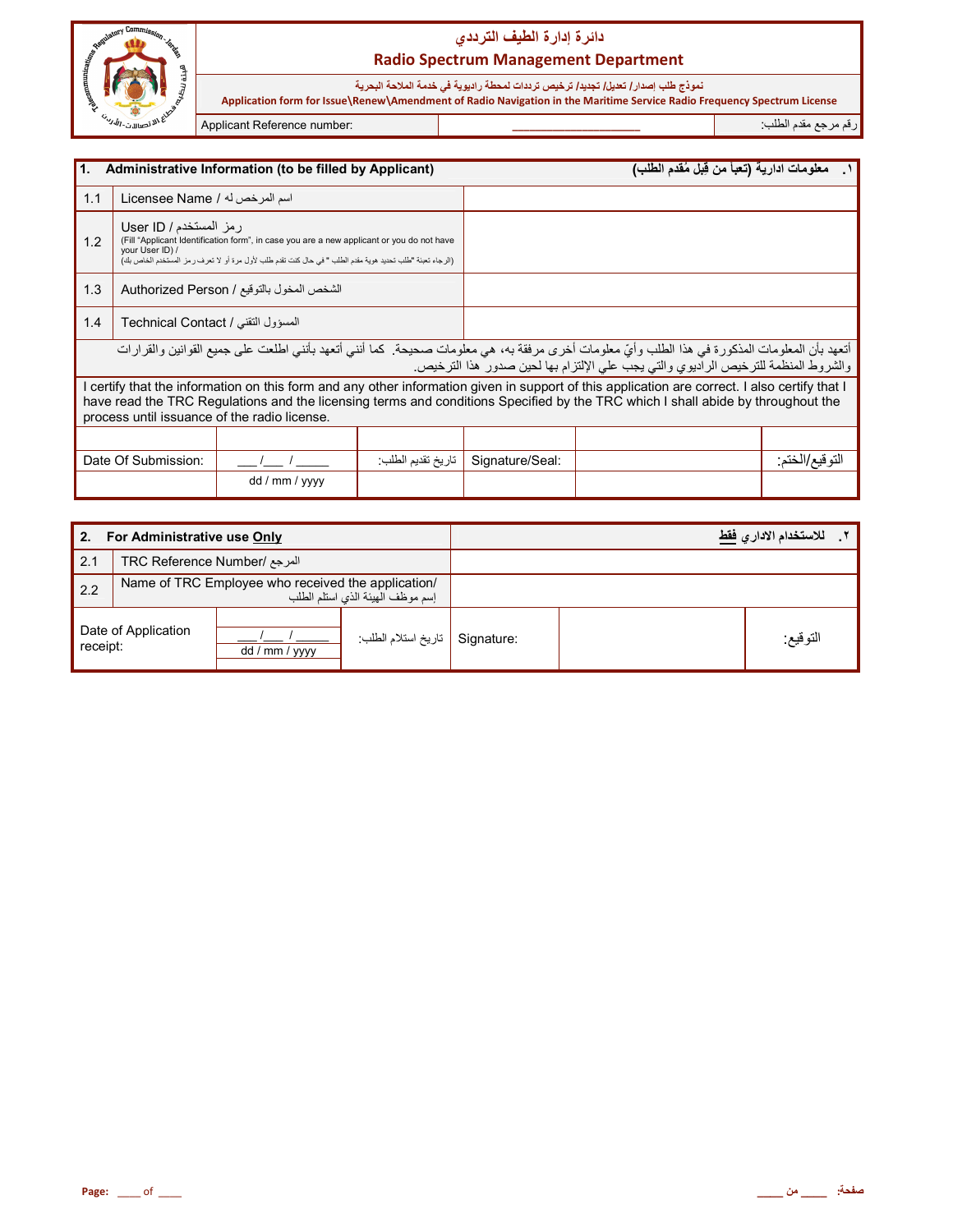

نموذج طلب إصدار / تعديل/ تجديد/ ترخيص ترددات لمحطة راديوية في خدمة الملاحة البحرية  **Application form for Issue\Renew\Amendment of Radio Navigation in the Maritime Service Radio Frequency Spectrum License**

رم رf &دم اط+ب: **\_\_\_\_\_\_\_\_\_\_\_\_\_\_\_\_\_\_\_\_\_\_** :number Reference Applicant

| I1.<br>Administrative Information (to be filled by Applicant)                                                                                                                                                                                                                                                                    |                                                                                                                                                                                                                                                      |                                           |                   |                 | معلومات ادارية (تعبأ من قِبل مُقدم الطلب)                                          |                 |
|----------------------------------------------------------------------------------------------------------------------------------------------------------------------------------------------------------------------------------------------------------------------------------------------------------------------------------|------------------------------------------------------------------------------------------------------------------------------------------------------------------------------------------------------------------------------------------------------|-------------------------------------------|-------------------|-----------------|------------------------------------------------------------------------------------|-----------------|
| 1.1                                                                                                                                                                                                                                                                                                                              | اسم المرخص له / Licensee Name                                                                                                                                                                                                                        |                                           |                   |                 |                                                                                    |                 |
| 1.2                                                                                                                                                                                                                                                                                                                              | رمز المستخدم / User ID<br>(Fill "Applicant Identification form", in case you are a new applicant or you do not have<br>your User ID) /<br>(الرجاء تعبئة "طلب تحديد هوية مقدم الطلب " في حال كنت تقدم طلب لأول مرة أو لا تعرف ر مز المستخدم الخاص بك) |                                           |                   |                 |                                                                                    |                 |
| 1.3                                                                                                                                                                                                                                                                                                                              |                                                                                                                                                                                                                                                      | الشخص المخول بالتوقيع / Authorized Person |                   |                 |                                                                                    |                 |
| 1.4                                                                                                                                                                                                                                                                                                                              | المسؤول التقنى / Technical Contact                                                                                                                                                                                                                   |                                           |                   |                 |                                                                                    |                 |
| أتعهد بأن المعلومات المذكورة في هذا الطلب وأيّ معلومات أخرى مرفقة به، هي معلومات صحيحة. كما أنني أتعهد بأنني اطلعت على جميع القوانين والقرارات                                                                                                                                                                                   |                                                                                                                                                                                                                                                      |                                           |                   |                 | والشروط المنظمة للترخيص الراديوي والتي يجب على الإلتزام بها لحين صدور هذا الترخيص. |                 |
| I certify that the information on this form and any other information given in support of this application are correct. I also certify that I<br>have read the TRC Regulations and the licensing terms and conditions Specified by the TRC which I shall abide by throughout the<br>process until issuance of the radio license. |                                                                                                                                                                                                                                                      |                                           |                   |                 |                                                                                    |                 |
|                                                                                                                                                                                                                                                                                                                                  |                                                                                                                                                                                                                                                      |                                           |                   |                 |                                                                                    |                 |
|                                                                                                                                                                                                                                                                                                                                  | Date Of Submission:                                                                                                                                                                                                                                  |                                           | تاريخ تقديم الطلب | Signature/Seal: |                                                                                    | النو فيع/الخنم: |
|                                                                                                                                                                                                                                                                                                                                  |                                                                                                                                                                                                                                                      | dd / mm / yyyy                            |                   |                 |                                                                                    |                 |

| 2.                              | For Administrative use Only  |                                                    |                                  |  | للاستخدام الادار  فقط |
|---------------------------------|------------------------------|----------------------------------------------------|----------------------------------|--|-----------------------|
| 2.1                             | المرجع /TRC Reference Number |                                                    |                                  |  |                       |
| 2.2                             |                              | Name of TRC Employee who received the application/ | إسم موظف الهيئة الذي استلم الطلب |  |                       |
| Date of Application<br>receipt: |                              | dd / mm / yyyy                                     | Signature   تاريخ استلام الطلب   |  | التوقيع:              |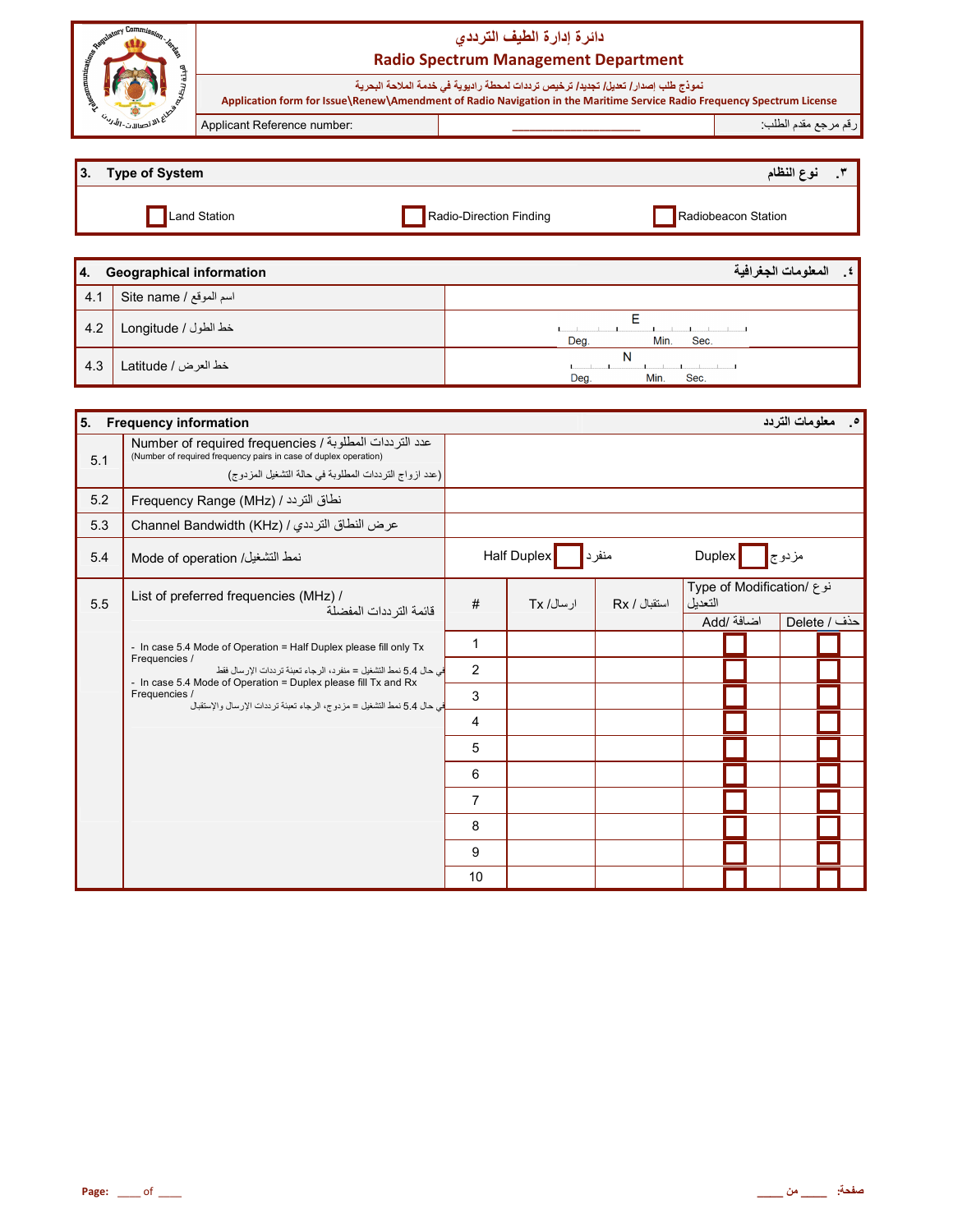| ణ                                     |                             | دائرة إدارة الطيف الترددى<br><b>Radio Spectrum Management Department</b>                                                                                                                                      |                     |
|---------------------------------------|-----------------------------|---------------------------------------------------------------------------------------------------------------------------------------------------------------------------------------------------------------|---------------------|
|                                       |                             | نموذج طلب إصدار / تعديل/ تجديد/ ترخيص ترددات لمحطة راديوية في خدمة الملاحة البحرية<br>Application form for Issue\Renew\Amendment of Radio Navigation in the Maritime Service Radio Frequency Spectrum License |                     |
| $\omega_{\nu j}$ $\omega_{\nu}$ . The | Applicant Reference number: |                                                                                                                                                                                                               | رقم مرجع مقدم الطلب |
|                                       |                             |                                                                                                                                                                                                               |                     |

| $\overline{3}$ . | Type of System |                         | نوع النظام          |
|------------------|----------------|-------------------------|---------------------|
|                  | Land Station   | Radio-Direction Finding | Radiobeacon Station |

| 14. | <b>Geographical information</b> | المعلومات الجغرافية<br>∴≴ l |
|-----|---------------------------------|-----------------------------|
| 4.1 | اسم الموقع / Site name          |                             |
| 4.2 | خط الطول / Longitude            | Min.<br>Deg.<br>Sec.        |
| 4.3 | خط العرض / Latitude             | N<br>Deg.<br>Min.<br>Sec.   |

| 5.  | <b>Frequency information</b>                                                                                                                                    |                |             |              |         |                           | <b>0_ معلومات التردد</b> |  |
|-----|-----------------------------------------------------------------------------------------------------------------------------------------------------------------|----------------|-------------|--------------|---------|---------------------------|--------------------------|--|
| 5.1 | عدد الترددات المطلوبة / Number of required frequencies<br>(Number of required frequency pairs in case of duplex operation)                                      |                |             |              |         |                           |                          |  |
|     | (عدد ازواج الترددات المطلوبة في حالة التشغيل المزدوج)                                                                                                           |                |             |              |         |                           |                          |  |
| 5.2 | نطاق التردد / Frequency Range (MHz)                                                                                                                             |                |             |              |         |                           |                          |  |
| 5.3 | عرض النطاق الترددي / Channel Bandwidth (KHz)                                                                                                                    |                |             |              |         |                           |                          |  |
| 5.4 | نمط التشغيل/ Mode of operation                                                                                                                                  |                | Half Duplex | منفرد∥       | Duplex  |                           | مزدوج                    |  |
| 5.5 | List of preferred frequencies (MHz) /<br>قائمة التر ددات المفضلة                                                                                                | #              | ار سال/ Tx  | استقبال / Rx | التعديل | نوع /Type of Modification |                          |  |
|     |                                                                                                                                                                 |                |             |              |         | اضافة /Add                | حذف / Delete             |  |
|     | - In case 5.4 Mode of Operation = Half Duplex please fill only Tx                                                                                               | $\mathbf{1}$   |             |              |         |                           |                          |  |
|     | Frequencies /<br>في حال 5.4 نمط التشغيل = منفر د، الرجاء تعبئة تر ددات الإرسال فقط                                                                              | $\overline{2}$ |             |              |         |                           |                          |  |
|     | - In case 5.4 Mode of Operation = Duplex please fill Tx and Rx<br>Frequencies /<br>في حال 5.4 نمط التشغيل = مز دو ج، الر جاء تعينة تر ددات الإر سال و الإستقبال | 3              |             |              |         |                           |                          |  |
|     |                                                                                                                                                                 | 4              |             |              |         |                           |                          |  |
|     |                                                                                                                                                                 | 5              |             |              |         |                           |                          |  |
|     |                                                                                                                                                                 | 6              |             |              |         |                           |                          |  |
|     |                                                                                                                                                                 | $\overline{7}$ |             |              |         |                           |                          |  |
|     |                                                                                                                                                                 | 8              |             |              |         |                           |                          |  |
|     |                                                                                                                                                                 | 9              |             |              |         |                           |                          |  |
|     |                                                                                                                                                                 | 10             |             |              |         |                           |                          |  |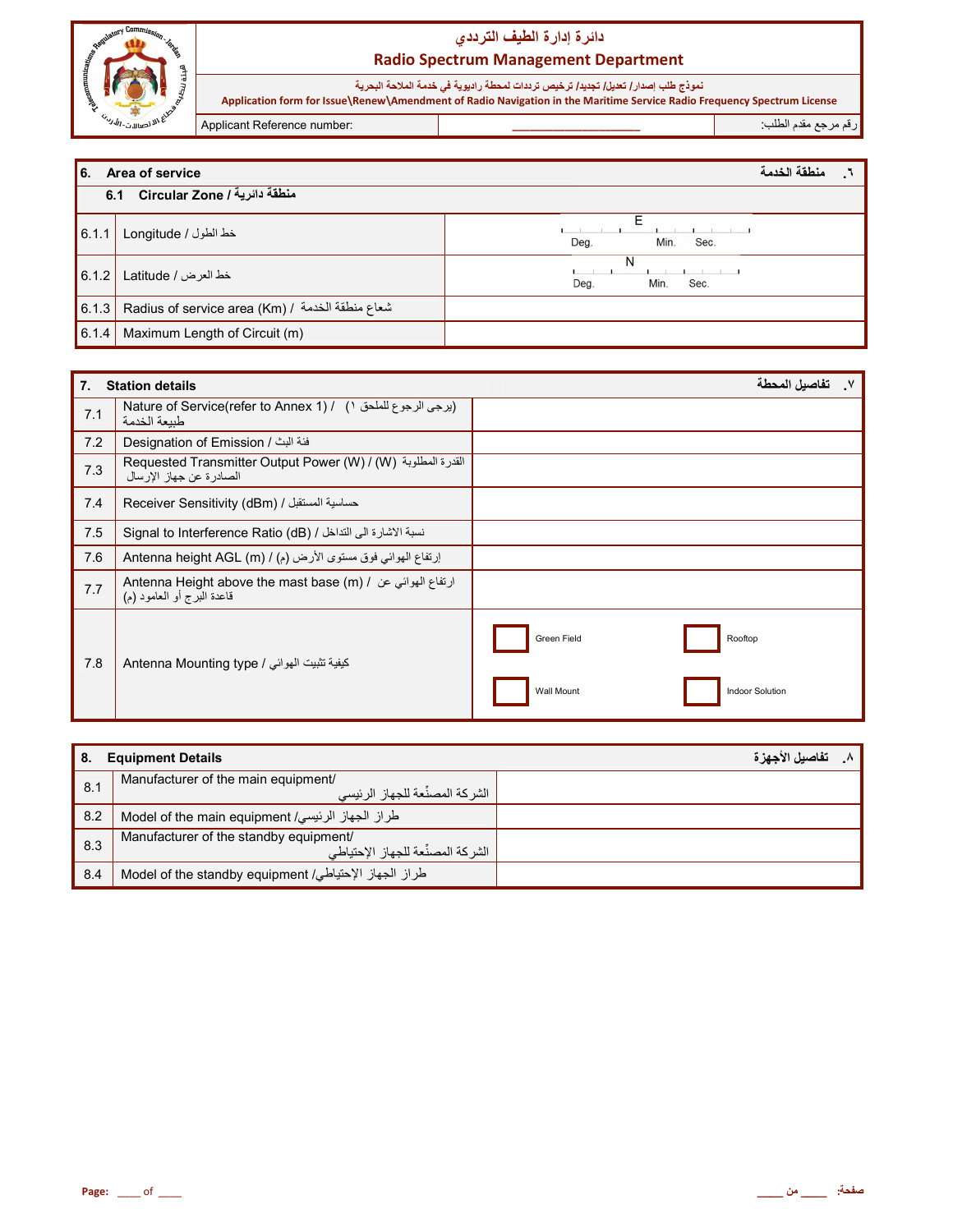

نموذج طلب إصدار/ تعيل/ تجديد/ ترخيص ترددات لمحطة راديوية في خدمة الملاحة البحرية<br>Application form for Issue\Renew\Amendment of Radio Navigation in the Maritime Service Radio Frequency Spectrum License

Applicant Reference number:

رقم مرجع مقدم الطلب

| l 6.  | Area of service                                   | منطقة الخدمة              |
|-------|---------------------------------------------------|---------------------------|
|       | 6.1 Circular Zone / المنطقة دائرية                |                           |
| 6.1.1 | خط الطول / Longitude                              | Min.<br>Deg.<br>Sec.      |
| 6.1.2 | خط العرض / Latitude                               | N<br>Min.<br>Sec.<br>Deg. |
| 6.1.3 | Radius of service area (Km) / شعاع منطقة الخدمة / |                           |
| 6.1.4 | Maximum Length of Circuit (m)                     |                           |

| $\overline{7}$ . | <b>Station details</b>                                                                                                          |                        | تفاصلل المحطة   |
|------------------|---------------------------------------------------------------------------------------------------------------------------------|------------------------|-----------------|
| 7.1              | Nature of Service(refer to Annex 1) / ( ابرجى الرجوع للملحق ١)<br>طننعة الخدمة                                                  |                        |                 |
| 7.2              | فئة البث / Designation of Emission                                                                                              |                        |                 |
| 7.3              | Requested Transmitter Output Power (W) / (W) القدرة المطلوبة (Requested Transmitter Output Power (W)<br>الصادرة عن جهاز الإرسال |                        |                 |
| 7.4              | حساسية المستقبل / Receiver Sensitivity (dBm)                                                                                    |                        |                 |
| 7.5              | نسبة الاشارة الى التداخل / Signal to Interference Ratio (dB)                                                                    |                        |                 |
| 7.6              | إرتفاع الهوائي فوق مستوى الأرض (م) / Antenna height AGL (m)                                                                     |                        |                 |
| 7.7              | Antenna Height above the mast base (m) / ارتفاع الهوائي عن Antenna Height above the mast base (m)<br>قاعدة البرج أو العامود (م) |                        |                 |
| 7.8              | كيفية تثبيت الهوائي / Antenna Mounting type                                                                                     | Green Field<br>Rooftop |                 |
|                  |                                                                                                                                 | <b>Wall Mount</b>      | Indoor Solution |

| 8.  | <b>Equipment Details</b>                                                    | تفاصيل الأجهزة |
|-----|-----------------------------------------------------------------------------|----------------|
| 8.1 | Manufacturer of the main equipment/<br>، الشر كة المصنِّعة للجهاز الرئيسي   |                |
| 8.2 | طراز الجهاز الرئيسي/ Model of the main equipment                            |                |
| 8.3 | Manufacturer of the standby equipment/<br>الشركة المصنِّعة للجهاز الإحتياطي |                |
| 8.4 | طراز الجهاز الإحتياطي/ Model of the standby equipment                       |                |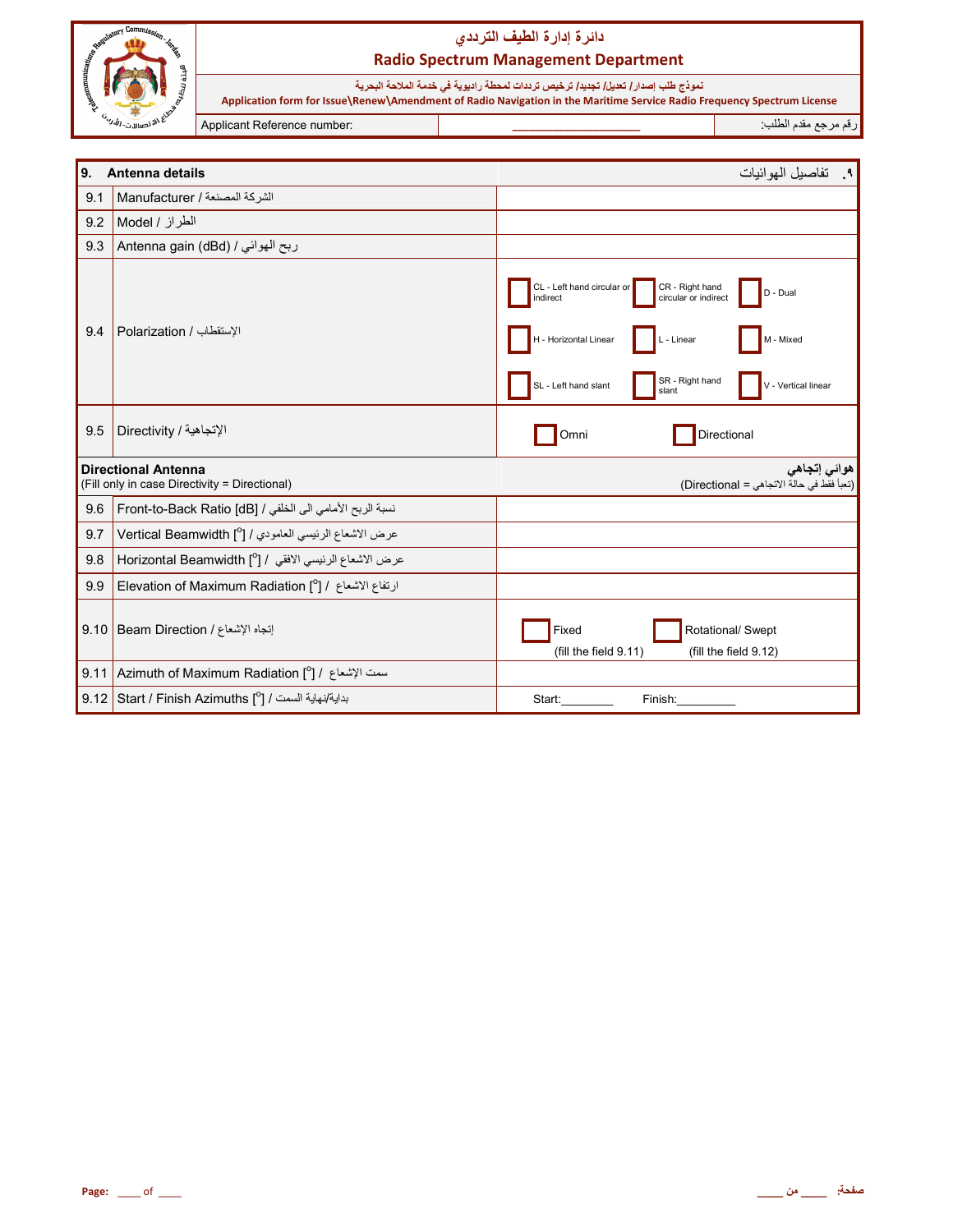

نموذج طلب إصدار/ تعيل/ تجديد/ ترخيص ترددات لمحطة راديوية في خدمة الملاحة البحرية<br>Application form for Issue\Renew\Amendment of Radio Navigation in the Maritime Service Radio Frequency Spectrum License

Applicant Reference number:

رقم مرجع مقدم الطلب

| 9.   | Antenna details                                                             | ٩. تفاصيل الموائيات                                                                                                                                                                                                          |
|------|-----------------------------------------------------------------------------|------------------------------------------------------------------------------------------------------------------------------------------------------------------------------------------------------------------------------|
| 9.1  | الشركة المصنعة / Manufacturer                                               |                                                                                                                                                                                                                              |
| 9.2  | الطراز / Model                                                              |                                                                                                                                                                                                                              |
| 9.3  | ربح الهوائي / Antenna gain (dBd)                                            |                                                                                                                                                                                                                              |
| 9.4  | الإستقطاب / Polarization                                                    | CL - Left hand circular or<br>CR - Right hand<br>D - Dual<br>circular or indirect<br>indirect<br>H - Horizontal Linear<br>M - Mixed<br>L - Linear<br>SR - Right hand<br>SL - Left hand slant<br>V - Vertical linear<br>slant |
| 9.5  | الإتجاهية / Directivity                                                     | Directional<br>Omni                                                                                                                                                                                                          |
|      | <b>Directional Antenna</b><br>(Fill only in case Directivity = Directional) | هوائي إتجاهي<br>(تعبأ فقط في حالة الاتجاهي = Directional)                                                                                                                                                                    |
| 9.6  | نسبة الربح الأمامي الى الخلفي / [GB] Front-to-Back Ratio                    |                                                                                                                                                                                                                              |
| 9.7  | عرض الاشعاع الرئيسي العامودي / [ <sup>0</sup> ] Vertical Beamwidth          |                                                                                                                                                                                                                              |
| 9.8  | عرض الاشعاع الرئيسي الافقى / [0] Horizontal Beamwidth                       |                                                                                                                                                                                                                              |
| 9.9  | ارتفاع الاشعاع / [ <sup>0</sup> ] Elevation of Maximum Radiation            |                                                                                                                                                                                                                              |
|      | 9.10   Beam Direction / إنجاه الإشعاع                                       | Fixed<br>Rotational/ Swept<br>(fill the field 9.11)<br>(fill the field 9.12)                                                                                                                                                 |
| 9.11 | Azimuth of Maximum Radiation [°] / اسمت الإشعاع /                           |                                                                                                                                                                                                                              |
|      | بداية/نهاية السمت / Start / Finish Azimuths [°] /                           | Finish:<br>Start:                                                                                                                                                                                                            |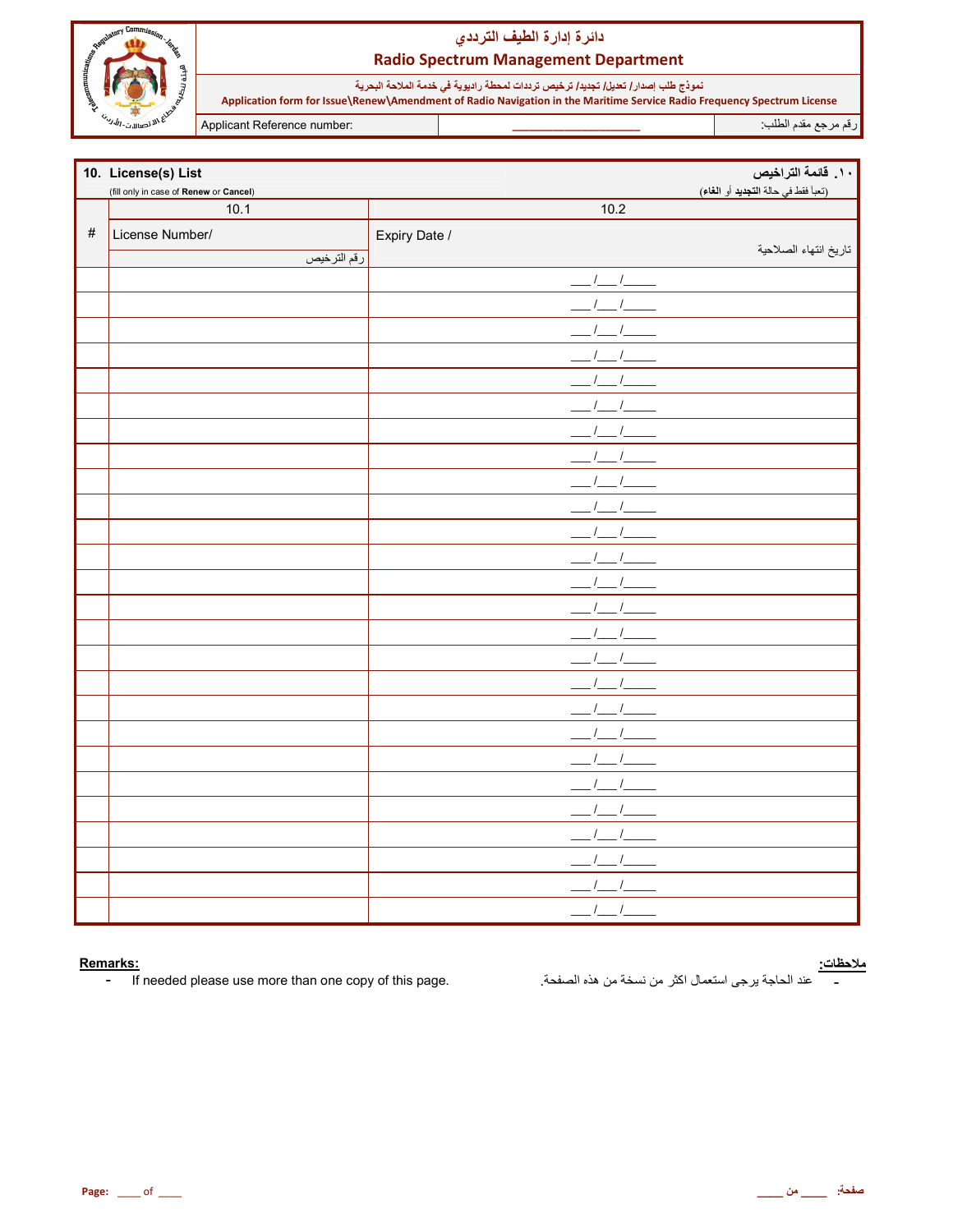

نموذج طلب إصدار/ تعليل/ تجليل/ ترخيص ترددات لمحطة راديوية في خدمة الملاحة البحرية<br>Application form for Issue\Renew\Amendment of Radio Navigation in the Maritime Service Radio Frequency Spectrum License

Applicant Reference number:

رقم مرجع مقدم الطلب

|      | 10. License(s) List                    |                  | ١٠. قائمة التراخيص                  |
|------|----------------------------------------|------------------|-------------------------------------|
|      | (fill only in case of Renew or Cancel) |                  | (تعبأ فقط في حالة التجديد أو الغاء) |
|      | 10.1                                   | $\frac{1}{10.2}$ |                                     |
| $\#$ | License Number/                        | Expiry Date /    |                                     |
|      | رقم الترخيص                            |                  | تاريخ انتهاء الصلاحية               |
|      |                                        | $1 \quad 1$      |                                     |
|      |                                        |                  |                                     |
|      |                                        |                  |                                     |
|      |                                        |                  |                                     |
|      |                                        |                  |                                     |
|      |                                        |                  |                                     |
|      |                                        |                  |                                     |
|      |                                        |                  |                                     |
|      |                                        |                  |                                     |
|      |                                        |                  |                                     |
|      |                                        |                  |                                     |
|      |                                        |                  |                                     |
|      |                                        |                  |                                     |
|      |                                        |                  |                                     |
|      |                                        |                  |                                     |
|      |                                        |                  |                                     |
|      |                                        |                  |                                     |
|      |                                        |                  |                                     |
|      |                                        |                  |                                     |
|      |                                        |                  |                                     |
|      |                                        |                  |                                     |
|      |                                        |                  |                                     |
|      |                                        |                  |                                     |
|      |                                        |                  |                                     |
|      |                                        |                  |                                     |
|      |                                        |                  |                                     |

#### Remarks:

If needed please use more than one copy of this page.  $\pm$ 

<mark>ملاحظات:</mark><br>\_\_\_\_\_\_ عند الحاجة يرجى استعمال اكثر من نسخة من هذه الصفحة<sub>.</sub>